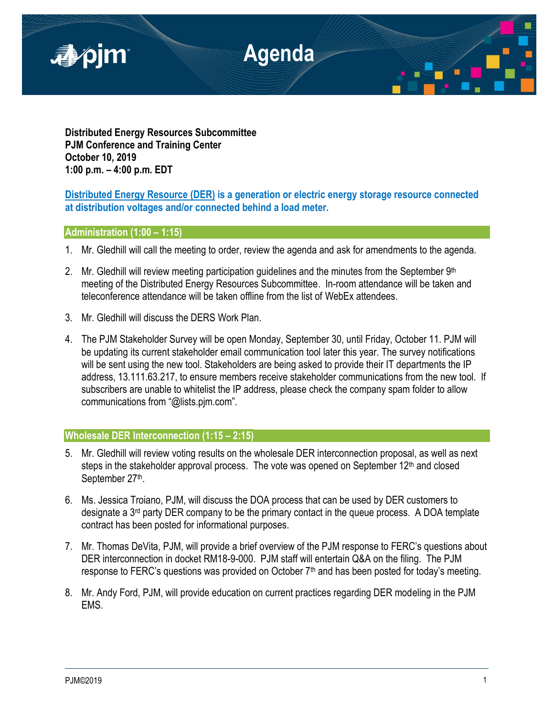

**Distributed Energy Resources Subcommittee PJM Conference and Training Center October 10, 2019 1:00 p.m. – 4:00 p.m. EDT**

# **Distributed Energy Resource (DER) is a generation or electric energy storage resource connected at distribution voltages and/or connected behind a load meter.**

# **Administration (1:00 – 1:15)**

- 1. Mr. Gledhill will call the meeting to order, review the agenda and ask for amendments to the agenda.
- 2. Mr. Gledhill will review meeting participation guidelines and the minutes from the September  $9<sup>th</sup>$ meeting of the Distributed Energy Resources Subcommittee. In-room attendance will be taken and teleconference attendance will be taken offline from the list of WebEx attendees.
- 3. Mr. Gledhill will discuss the DERS Work Plan.
- 4. The PJM Stakeholder Survey will be open Monday, September 30, until Friday, October 11. PJM will be updating its current stakeholder email communication tool later this year. The survey notifications will be sent using the new tool. Stakeholders are being asked to provide their IT departments the IP address, 13.111.63.217, to ensure members receive stakeholder communications from the new tool. If subscribers are unable to whitelist the IP address, please check the company spam folder to allow communications from "@lists.pjm.com".

## **Wholesale DER Interconnection (1:15 – 2:15)**

- 5. Mr. Gledhill will review voting results on the wholesale DER interconnection proposal, as well as next steps in the stakeholder approval process. The vote was opened on September  $12<sup>th</sup>$  and closed September 27<sup>th</sup>.
- 6. Ms. Jessica Troiano, PJM, will discuss the DOA process that can be used by DER customers to designate a 3rd party DER company to be the primary contact in the queue process. A DOA template contract has been posted for informational purposes.
- 7. Mr. Thomas DeVita, PJM, will provide a brief overview of the PJM response to FERC's questions about DER interconnection in docket RM18-9-000. PJM staff will entertain Q&A on the filing. The PJM response to FERC's questions was provided on October  $7<sup>th</sup>$  and has been posted for today's meeting.
- 8. Mr. Andy Ford, PJM, will provide education on current practices regarding DER modeling in the PJM EMS.